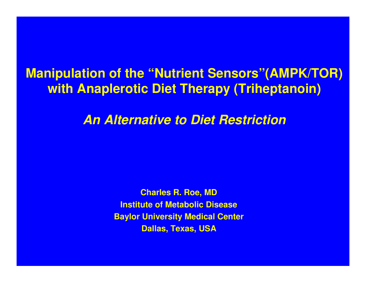### **Manipulation of the "Nutrient Sensors"(AMPK/TOR) with Anaplerotic Diet Therapy (Triheptanoin)**

*An Alternative to Diet Restriction*

**Charles R. Roe, MD Institute of Metabolic Disease Baylor University Medical Center Dallas, Texas, USA**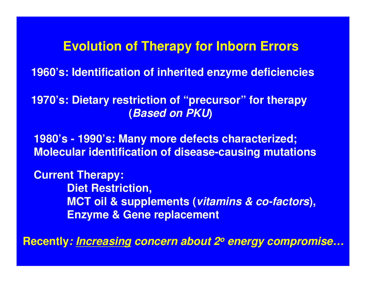### **Evolution of Therapy for Inborn Errors**

**1960's: Identification of inherited enzyme deficiencies**

**1970's: Dietary restriction of "precursor" for therapy (***Based on PKU***)**

**1980's - 1990's: Many more defects characterized; Molecular identification of disease-causing mutations**

**Current Therapy: Diet Restriction, MCT oil & supplements (***vitamins & co-factors***), Enzyme & Gene replacement**

**Recently***: Increasing concern about 2o energy compromise…*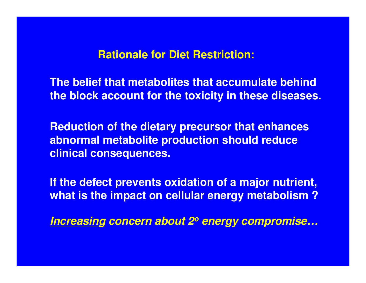#### **Rationale for Diet Restriction:**

**The belief that metabolites that accumulate behind the block account for the toxicity in these diseases.**

**Reduction of the dietary precursor that enhances abnormal metabolite production should reduce clinical consequences.**

**If the defect prevents oxidation of a major nutrient, what is the impact on cellular energy metabolism ?**

*Increasing concern about 2o energy compromise…*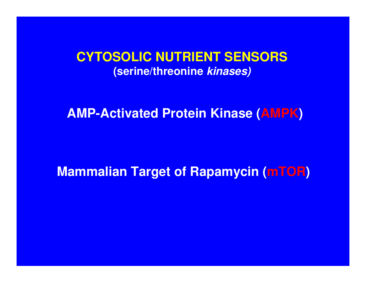### **CYTOSOLIC NUTRIENT SENSORS (serine/threonine** *kinases)*

**AMP-Activated Protein Kinase (AMPK)**

### **Mammalian Target of Rapamycin (mTOR)**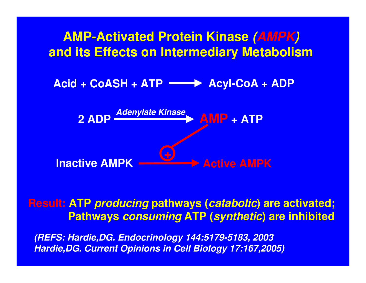

### **Result: ATP** *producing* **pathways (***catabolic***) are activated; Pathways** *consuming* **ATP (***synthetic***) are inhibited**

*(REFS: Hardie,DG. Endocrinology 144:5179-5183, 2003 Hardie,DG. Current Opinions in Cell Biology 17:167,2005)*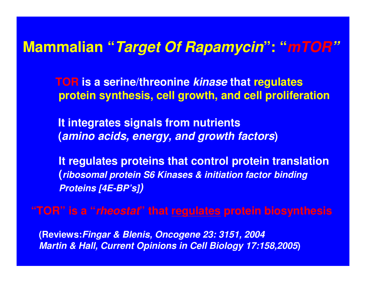## **Mammalian "***Target Of Rapamycin***": "***mTOR"*

**TOR is a serine/threonine** *kinase* **that regulates protein synthesis, cell growth, and cell proliferation**

**It integrates signals from nutrients (***amino acids, energy, and growth factors***)**

**It regulates proteins that control protein translation (***ribosomal protein S6 Kinases & initiation factor binding Proteins [4E-BP's])*

**"TOR" is a "***rheostat***" that regulates protein biosynthesis**

**(Reviews:***Fingar & Blenis, Oncogene 23: 3151, 2004 Martin & Hall, Current Opinions in Cell Biology 17:158,2005***)**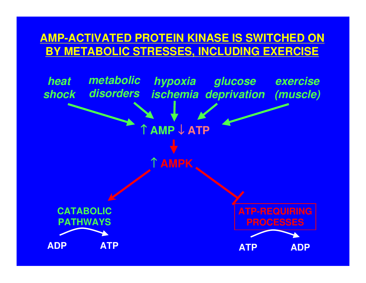### **AMP-ACTIVATED PROTEIN KINASE IS SWITCHED ON BY METABOLIC STRESSES, INCLUDING EXERCISE**

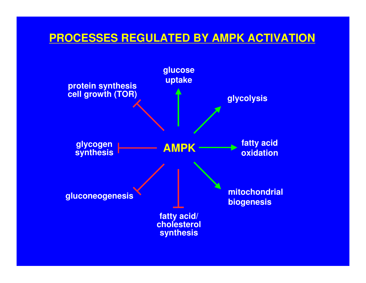### **PROCESSES REGULATED BY AMPK ACTIVATION**

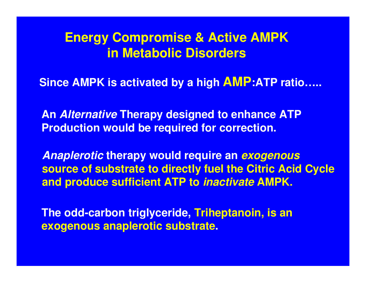### **Energy Compromise & Active AMPK in Metabolic Disorders**

**Since AMPK is activated by a high AMP:ATP ratio…..**

**An** *Alternative* **Therapy designed to enhance ATP Production would be required for correction.**

*Anaplerotic* **therapy would require an** *exogenous* **source of substrate to directly fuel the Citric Acid Cycle and produce sufficient ATP to** *inactivate* **AMPK.**

**The odd-carbon triglyceride, Triheptanoin, is an exogenous anaplerotic substrate.**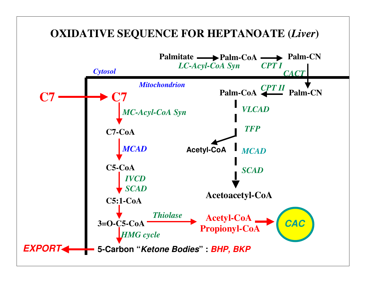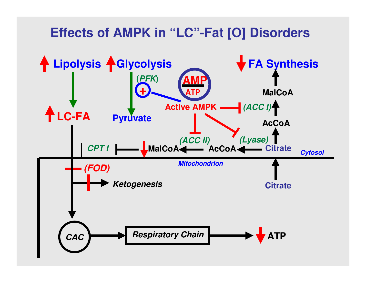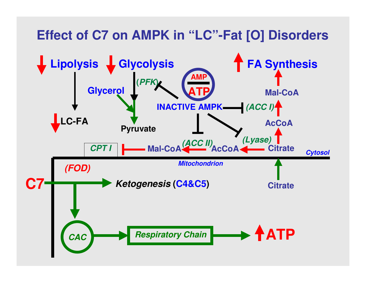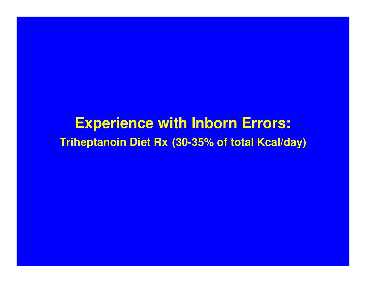**Experience with Inborn Errors: Triheptanoin Diet Rx (30-35% of total Kcal/day)**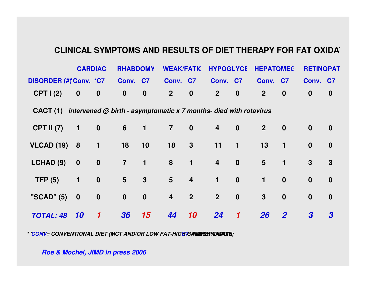#### **CLINICAL SYMPTOMS AND RESULTS OF DIET THERAPY FOR FAT OXIDAT**

|                                                                              |                  | <b>CARDIAC</b>             | <b>RHABDOMY</b> |                      | <b>WEAK/FATIC</b> |                | <b>HYPOGLYCE</b>        |                  | <b>HEPATOMEC</b> |                  | <b>RETINOPAT</b> |                  |
|------------------------------------------------------------------------------|------------------|----------------------------|-----------------|----------------------|-------------------|----------------|-------------------------|------------------|------------------|------------------|------------------|------------------|
| <b>DISORDER (#)*Conv. *C7</b>                                                |                  |                            | Conv. C7        |                      | Conv. C7          |                | Conv. C7                |                  | Conv. C7         |                  | Conv. C7         |                  |
| CPTI(2)                                                                      | $\boldsymbol{0}$ | $\boldsymbol{0}$           | $\mathbf 0$     | $\bf{0}$             | $\overline{2}$    | $\mathbf 0$    | 2 <sup>2</sup>          | $\boldsymbol{0}$ | 2 <sup>1</sup>   | $\boldsymbol{0}$ | $\boldsymbol{0}$ | $\boldsymbol{0}$ |
| CACT (1) intervened $@$ birth - asymptomatic x 7 months- died with rotavirus |                  |                            |                 |                      |                   |                |                         |                  |                  |                  |                  |                  |
| <b>CPT II (7)</b>                                                            | $\blacklozenge$  | $\mathbf 0$                | $6\overline{6}$ | $\blacktriangleleft$ | $\overline{7}$    | $\bf{0}$       | $\overline{\mathbf{4}}$ | $\bf{0}$         | 2 <sup>1</sup>   | $\mathbf 0$      | $\bf{0}$         | $\boldsymbol{0}$ |
| <b>VLCAD (19)</b>                                                            | 8                | $\overline{1}$             | 18              | 10                   | 18                | $3\phantom{a}$ | 11                      | $\mathbf{1}$     | 13               | $\mathbf{1}$     | $\boldsymbol{0}$ | $\boldsymbol{0}$ |
| LCHAD (9)                                                                    | $\mathbf 0$      | $\mathbf 0$                | $\overline{7}$  | $\mathbf{1}$         | 8                 | $\mathbf{1}$   | $\overline{\mathbf{4}}$ | $\boldsymbol{0}$ | $5\phantom{1}$   | $\mathbf{1}$     | $\mathbf{3}$     | $\mathbf{3}$     |
| TFP(5)                                                                       | $\mathbf 1$      | $\boldsymbol{0}$           | $5\overline{)}$ | $\mathbf{3}$         | $5\phantom{1}$    | $\overline{4}$ | $\mathbf{1}$            | $\boldsymbol{0}$ | $\mathbf 1$      | $\boldsymbol{0}$ | $\boldsymbol{0}$ | $\boldsymbol{0}$ |
| "SCAD" (5)                                                                   | $\boldsymbol{0}$ | $\boldsymbol{0}$           | $\mathbf{0}$    | $\mathbf 0$          | $\overline{4}$    | 2 <sup>2</sup> | 2 <sup>2</sup>          | $\mathbf 0$      | $\mathbf{3}$     | $\boldsymbol{0}$ | $\boldsymbol{0}$ | $\boldsymbol{0}$ |
| <b>TOTAL: 48</b>                                                             | <b>10</b>        | $\boldsymbol{\mathcal{U}}$ | 36              | 15                   | 44                | 10             | 24                      | $\mathbf 1$      | <b>26</b>        | $\overline{2}$   | $\boldsymbol{3}$ | $\boldsymbol{3}$ |

*\* CONV* = CONVENTIONAL DIET (MCT AND/OR LOW FAT-HIGE CARBOHPIDANOIN;

*Roe & Mochel, JIMD in press 2006*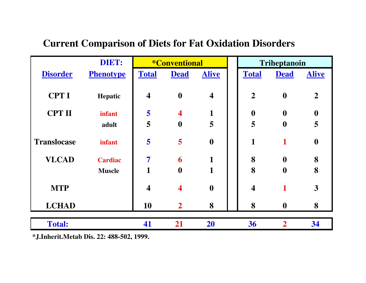#### **Current Comparison of Diets for Fat Oxidation Disorders**

|                    | DIET:            | <i><b>*Conventional</b></i> |                         | <b>Triheptanoin</b>     |                         |                  |                  |
|--------------------|------------------|-----------------------------|-------------------------|-------------------------|-------------------------|------------------|------------------|
| <b>Disorder</b>    | <b>Phenotype</b> | <b>Total</b>                | <b>Dead</b>             | <b>Alive</b>            | <b>Total</b>            | <b>Dead</b>      | <b>Alive</b>     |
|                    |                  |                             |                         |                         |                         |                  |                  |
| <b>CPT I</b>       | Hepatic          | $\overline{\mathbf{4}}$     | $\boldsymbol{0}$        | $\overline{\mathbf{4}}$ | $\overline{2}$          | $\boldsymbol{0}$ | $\overline{2}$   |
|                    |                  |                             |                         |                         |                         |                  |                  |
| <b>CPT II</b>      | <b>infant</b>    | 5                           | $\overline{\mathbf{4}}$ | 1                       | $\boldsymbol{0}$        | $\boldsymbol{0}$ | $\boldsymbol{0}$ |
|                    | adult            | 5                           | $\boldsymbol{0}$        | 5                       | 5                       | $\boldsymbol{0}$ | 5                |
|                    |                  |                             |                         |                         |                         |                  |                  |
| <b>Translocase</b> | infant           | 5                           | 5                       | $\boldsymbol{0}$        | $\mathbf{1}$            | 1                | $\boldsymbol{0}$ |
| <b>VLCAD</b>       | <b>Cardiac</b>   | $\overline{7}$              | 6                       | $\mathbf{1}$            | 8                       | $\boldsymbol{0}$ | 8                |
|                    | <b>Muscle</b>    | $\mathbf{1}$                | $\boldsymbol{0}$        | 1                       | 8                       | $\boldsymbol{0}$ | 8                |
|                    |                  |                             |                         |                         |                         |                  |                  |
| <b>MTP</b>         |                  | $\overline{\mathbf{4}}$     | $\overline{\mathbf{4}}$ | $\boldsymbol{0}$        | $\overline{\mathbf{4}}$ |                  | 3                |
| <b>LCHAD</b>       |                  | 10                          | $\overline{2}$          | 8                       | 8                       | $\boldsymbol{0}$ | 8                |
|                    |                  |                             |                         |                         |                         |                  |                  |
| <b>Total:</b>      |                  | 41                          | 21                      | 20                      | 36                      | $\overline{2}$   | 34               |
|                    |                  |                             |                         |                         |                         |                  |                  |

**\*J.Inherit.Metab Dis. 22: 488-502, 1999.**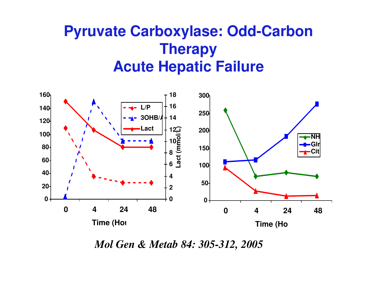## **Pyruvate Carboxylase: Odd-Carbon Therapy Acute Hepatic Failure**



*Mol Gen & Metab 84: 305-312, 2005*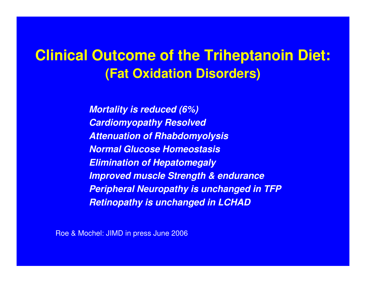## **Clinical Outcome of the Triheptanoin Diet: (Fat Oxidation Disorders)**

*Mortality is reduced (6%) Cardiomyopathy Resolved Attenuation of Rhabdomyolysis Normal Glucose Homeostasis Elimination of Hepatomegaly Improved muscle Strength & endurance Peripheral Neuropathy is unchanged in TFP Retinopathy is unchanged in LCHAD*

Roe & Mochel: JIMD in press June 2006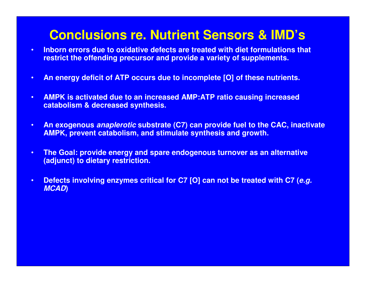### **Conclusions re. Nutrient Sensors & IMD's**

- **Inborn errors due to oxidative defects are treated with diet formulations that restrict the offending precursor and provide a variety of supplements.**
- **An energy deficit of ATP occurs due to incomplete [O] of these nutrients.**
- **AMPK is activated due to an increased AMP:ATP ratio causing increased catabolism & decreased synthesis.**
- **An exogenous** *anaplerotic* **substrate (C7) can provide fuel to the CAC, inactivate AMPK, prevent catabolism, and stimulate synthesis and growth.**
- **The Goal: provide energy and spare endogenous turnover as an alternative (adjunct) to dietary restriction.**
- **Defects involving enzymes critical for C7 [O] can not be treated with C7 (***e.g. MCAD***)**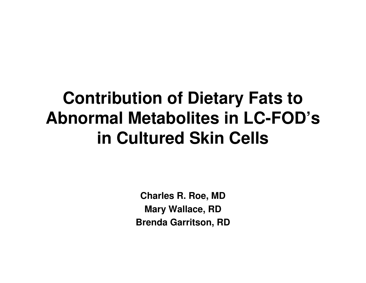# **Contribution of Dietary Fats to Abnormal Metabolites in LC-FOD's in Cultured Skin Cells**

**Charles R. Roe, MD Mary Wallace, RD Brenda Garritson, RD**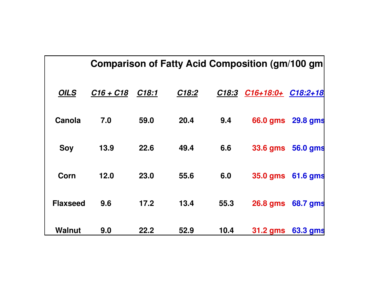|                 |             |                   |       |       | <b>Comparison of Fatty Acid Composition (gm/100 gm)</b> |          |
|-----------------|-------------|-------------------|-------|-------|---------------------------------------------------------|----------|
| <b>OILS</b>     | $C16 + C18$ | C <sub>18:1</sub> | C18:2 | C18:3 | C16+18:0+ C18:2+18                                      |          |
| Canola          | 7.0         | 59.0              | 20.4  | 9.4   | 66.0 gms                                                | 29.8 gms |
| <b>Soy</b>      | 13.9        | 22.6              | 49.4  | 6.6   | <b>33.6 gms</b>                                         | 56.0 gms |
| Corn            | 12.0        | 23.0              | 55.6  | 6.0   | <b>35.0 gms</b>                                         | 61.6 gms |
| <b>Flaxseed</b> | 9.6         | 17.2              | 13.4  | 55.3  | <b>26.8 gms</b>                                         | 68.7 gms |
| <b>Walnut</b>   | 9.0         | 22.2              | 52.9  | 10.4  | <b>31.2 gms</b>                                         | 63.3 gms |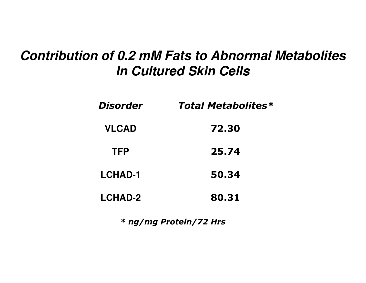### *Contribution of 0.2 mM Fats to Abnormal Metabolites In Cultured Skin Cells*

| Disorder       | <b>Total Metabolites*</b> |
|----------------|---------------------------|
| <b>VLCAD</b>   | 72.30                     |
| TFP            | 25.74                     |
| <b>LCHAD-1</b> | 50.34                     |
| <b>LCHAD-2</b> | 80.31                     |

\* ng/mg Protein/72 Hrs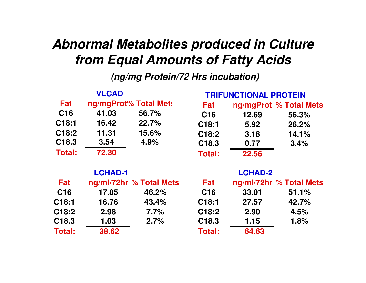### *Abnormal Metabolites produced in Culture from Equal Amounts of Fatty Acids*

*(ng/mg Protein/72 Hrs incubation)*

|                   | <b>VLCAD</b>   |                         |                    | <b>TRIFUNCTIONAL PROTEIN</b> |                         |
|-------------------|----------------|-------------------------|--------------------|------------------------------|-------------------------|
| Fat               |                | ng/mgProt% Total Met:   | Fat                |                              | ng/mgProt % Total Mets  |
| C <sub>16</sub>   | 41.03          | 56.7%                   | C <sub>16</sub>    | 12.69                        | 56.3%                   |
| C <sub>18:1</sub> | 16.42          | 22.7%                   | C18:1              | 5.92                         | 26.2%                   |
| C18:2             | 11.31          | 15.6%                   | C <sub>18</sub> :2 | 3.18                         | 14.1%                   |
| C <sub>18.3</sub> | 3.54           | 4.9%                    | C <sub>18.3</sub>  | 0.77                         | 3.4%                    |
| Total:            | 72.30          |                         | <b>Total:</b>      | 22.56                        |                         |
|                   | <b>LCHAD-1</b> |                         |                    | <b>LCHAD-2</b>               |                         |
| Fat               |                | ng/ml/72hr % Total Mets | Fat                |                              | ng/ml/72hr % Total Mets |
| C <sub>16</sub>   | 17.85          | 46.2%                   | C <sub>16</sub>    | 33.01                        | 51.1%                   |
| C18:1             | 16.76          | 43.4%                   | C18:1              | 27.57                        | 42.7%                   |
| C18:2             | 2.98           | 7.7%                    | C <sub>18</sub> :2 | 2.90                         | 4.5%                    |
| C18.3             | 1.03           | 2.7%                    | C <sub>18.3</sub>  | 1.15                         | 1.8%                    |
| <b>Total:</b>     | 38.62          |                         | <b>Total:</b>      | 64.63                        |                         |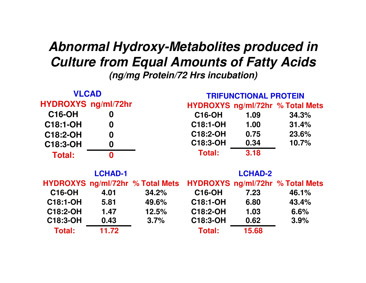### *Abnormal Hydroxy-Metabolites produced in Culture from Equal Amounts of Fatty Acids (ng/mg Protein/72 Hrs incubation)*

| <b>VLCAD</b>               |                  |                                  | <b>TRIFUNCTIONAL PROTEIN</b>     |                |                                  |  |  |
|----------------------------|------------------|----------------------------------|----------------------------------|----------------|----------------------------------|--|--|
| <b>HYDROXYS ng/ml/72hr</b> |                  |                                  | HYDROXYS ng/ml/72hr % Total Mets |                |                                  |  |  |
| <b>C16-OH</b>              | 0                |                                  | <b>C16-OH</b>                    | 1.09           | 34.3%                            |  |  |
| C18:1-OH                   | 0                |                                  | <b>C18:1-OH</b>                  | 1.00           | 31.4%                            |  |  |
| C18:2-OH                   | $\boldsymbol{0}$ |                                  | C18:2-OH                         | 0.75           | 23.6%                            |  |  |
| C18:3-OH                   | $\boldsymbol{0}$ |                                  | C18:3-OH                         | 0.34           | 10.7%                            |  |  |
| Total:                     | $\mathbf{0}$     |                                  | Total:                           | 3.18           |                                  |  |  |
|                            | <b>LCHAD-1</b>   |                                  |                                  | <b>LCHAD-2</b> |                                  |  |  |
|                            |                  | HYDROXYS ng/ml/72hr % Total Mets |                                  |                | HYDROXYS ng/ml/72hr % Total Mets |  |  |
| <b>C16-OH</b>              | 4.01             | 34.2%                            | <b>C16-OH</b>                    | 7.23           | 46.1%                            |  |  |
| C18:1-OH                   | 5.81             | 49.6%                            | C18:1-OH                         | 6.80           | 43.4%                            |  |  |
| C18:2-OH                   | 1.47             | 12.5%                            | C18:2-OH                         | 1.03           | 6.6%                             |  |  |
| C18:3-OH                   | 0.43             | 3.7%                             | C18:3-OH                         | 0.62           | 3.9%                             |  |  |
| Total:                     | 11.72            |                                  | Total:                           | 15.68          |                                  |  |  |